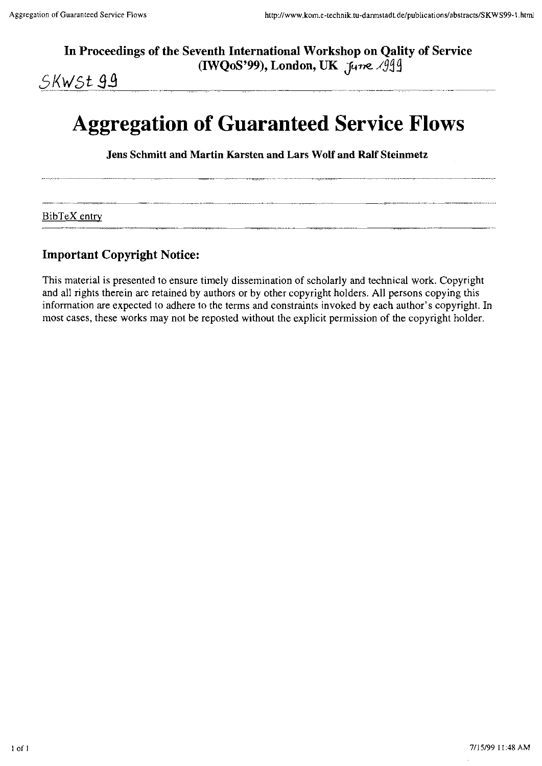In Proceedings of the Seventh International Workshop on Qality of Service **(IWQoSY99), London, UK** Jine **ljjj** 

SKWSt 99

# **Aggregation of Guaranteed Service Flows**

**Jens Schmitt and Martin Karsten and Lars Wolf and Raif Steinmetz**  Jens Schmitt and Martin Karsten and Lars Wolf and Ralf Steinmetz

BibTeX entry

# **Important Copyright Notice:**

This material is presented to ensure timely dissemination of scholarly and technical work. Copyright and all rights therein are retained by authors or by other copyright holders. All persons copying this information are expected to adhere to the terms and constraints invoked by each author's copyright. In most cases, these works may not be reposted without the explicit permission of the copyright holder.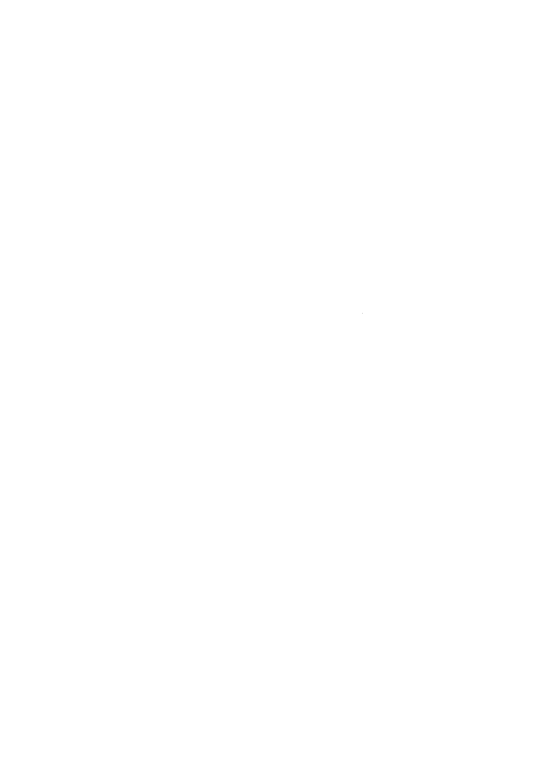$\mathcal{L}^{\mathcal{L}}(\mathcal{L}^{\mathcal{L}})$  and  $\mathcal{L}^{\mathcal{L}}(\mathcal{L}^{\mathcal{L}})$  and  $\mathcal{L}^{\mathcal{L}}(\mathcal{L}^{\mathcal{L}})$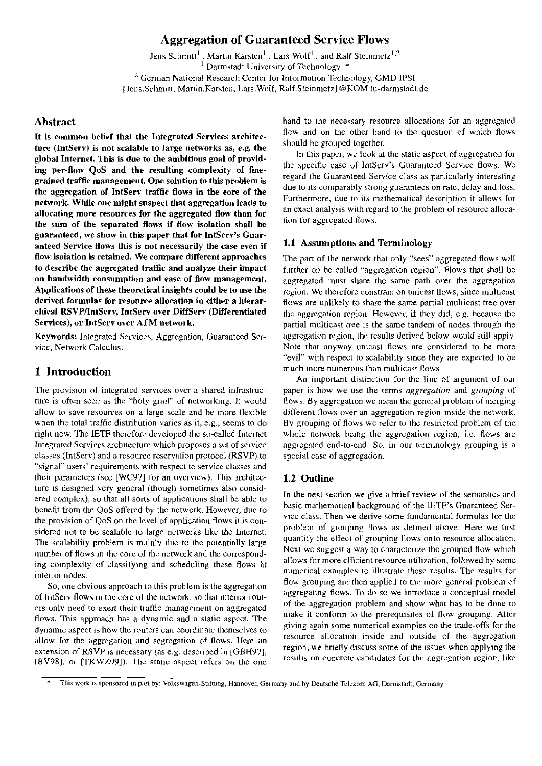# Aggregation of Guaranteed Service Flows

Jens Schmitt<sup>1</sup>, Martin Karsten<sup>1</sup>, Lars Wolf<sup>1</sup>, and Ralf Steinmetz<sup>1,2</sup> <sup>1</sup> Darmstadt University of Technology \*  $<sup>2</sup>$  German National Research Center for Information Technology, GMD IPSI</sup> {Jens.Schmitt, Martin.Karstcn, Lars.Wolf, Ralf.Steinmetz) @KOM.tu-darmstadt.de

#### **Abstract**

It is common belief that the lntegrated Services architecture (IntServ) is not scalable to large networks as, e.g. the global Internet. This is due to the ambitious goal of providing per-flow QoS and the resulting complexity of finegrained traffic management. One solution to this problem is the aggregation of IntServ traffic flows in the eore of the netwnrk. While one might suspect that aggregation leads to allocating more resources for the aggregated flow than for the sum of the separated flows if flow isolation shall he guaranteed, we show in this paper that for IntServ's Guaranteed Service flows this is not necessarily the case even if flow isolation is retained. We compare different approaches to descrihe the aggregated traffic and analyze their impact on bandwidth consumption and ease of flow management. Applications of these theoretical insights could be to use the derived formulas for resource allocation in either a hierarchieal RSVWIntServ, IntServ over DiffServ (Differentiated Services), or IntServ over ATM network.

Keywords: Integrated Services, Aggregation, Guaranteed Servicc, Network Calculus.

## **1 Introduction**

The provision of integratcd services over a shared infrastructure is often seen as the "holy grail" of networking. 11 would allow to save resources on a large scale and be more flexible when the total traffic distribution varies as it, e.g., seems to do right now. The IETF therefore developed the so-called Internct lntegrated Services architecture which proposes a sct of service classes (IntServ) and a resource reservation protocol (RSVP) to "signal" users' requirements with respect to service classes and their parameters (see [WC97] for an overview). This architec-Lure is designed very general (though sometimes also considered complex), so that all sorrs of applications shall be able to benefit from the QoS offered by the network. However, due to the provision of QoS on the level of application flows it is considered not to be scalable to large networks like the Internet. The scalability problem is mainly due to the potentially large numher of flows in the core of the network and the corresponding complexity of classifying and scheduling these flows at inferior nodes.

So, one ohvious approach to this prohlem is the aggregation of IntServ flows in the corc of the network, so that interior routers only need to exeri their traffic managemenr on aggregated flows. This approach has a dynamic and a static aspect. The dynamic aspect is how the routers can coordinate themselves to allow for the aggregation and segregation of flows. Here an extension of RSVP is necessary (as e.g. described in [GBH97], [BV98], or [TKWZ99]). The static aspect refers on the one hand to the necessary resource allocations for an aggregated flow and on the other hand to the question of which flows should be grouped together.

In this paper, we look at the static aspect of aggregation for the specihc case of IntServ's Cuaranteed Service flows. We regard the Guaranteed Service class as particularly interesting due to its comparably strong guarantees on rate, delay and loss. Furthermore, due to its mathematical description it allows for an exact analysis with regard to the problem of resource allocation for aggregated flows.

### 1.1 Assumptions and Terminology

The part of the network that only "sees" aggregated Hows will further on be called "aggregation region". Flows that shall be aggregated must share the same path over the aggregation region. We iherefore constrain on unicast flows, since multicast flows are unlikely to share the same partial multicast tree over the aggregation region. However, if thcy did, e.g. hecause the partial multicast tree is the same tandem of nodes through the aggregation region, the results derived below would still apply. Note that anyway unicast flows are considered to he more "evil" with respect io scalability since they are expected tobe much more numerous than multicast flows.

An important distinction for the line of argument of our paper is how we use the terms *aggregation* and *grouping* of flows By aggregation we mean the general problem of merging different flows over an aggregation region inside the network. By grouping of flows we refer to the restricted problem of the whole network being the aggregation region, i.e. flows are aggrcgated end-to-end. So, in our terminology grouping is a special case of aggregation.

#### 1.2 Outline

In the next section we give a brief review of the semantics and basic mathematical background of the IETF's Guaranteed Service class. Then we derive some fundamental formulas for the prohlem of grouping flows as defined above. Here we first quantify the effecr of grouping flows onto resource allocation. Nexi we suggest a way to characterize the grouped flow which allows for more eficient resource utilization, followed by some numerical examples to illustrate these results. The results for flow grouping are then applied to the more general problem of aggregating flows. To do so we introduce a conceptual model of the aggregation problem and show what has to be done to make it conform to the prerequisites of flow grouping. After giving again some numerical examples on the trade-offs for the resource allocation inside and outside of the aggregation region, we briefly discuss some of the issues when applying the results on concrete candidates for the aggregation region, like

<sup>\*</sup> **This work is sponrorrd** in **pin** by: **Volkswagen-Stiftung.** Hannover, Germany **ind** by **Deutsche Telekoni** AG, **Darrnstadt,** Gemany.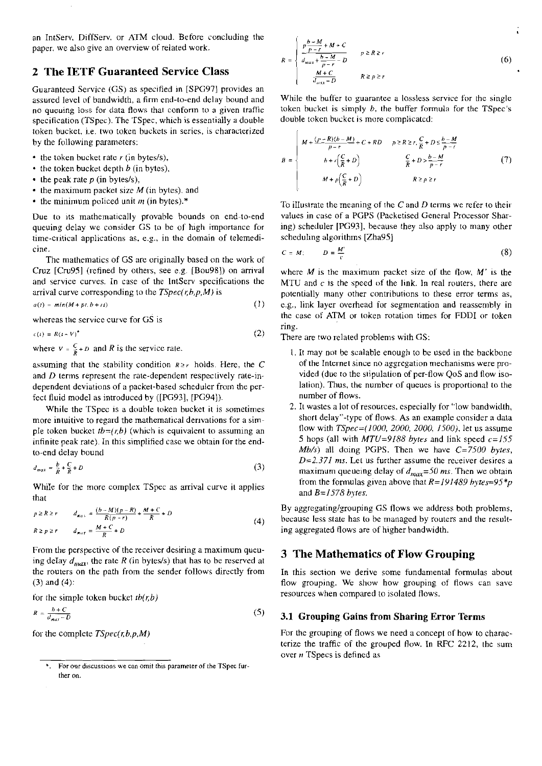an IntServ, DiffServ, or ATM cloud. Before concluding the papcr. we also give an overview of related work.

### **2 The IETF Guaranteed Service Class**

Cuaranteed Service (CS) as specified in [SPC971 provides an assured level of bandwidth, a firm end-to-end delay bound and no queuing loss for data flows that conform to a given traffic specification (TSpec). The TSpec, which is essentially a double token bucket, i.e two token buckets in series, is characterized by the following parameters:

- $\bullet$  the token bucket rate  $r$  (in bytes/s),
- $\cdot$  the token bucket depth *b* (in bytes),
- the peak rate  $p$  (in bytes/s),
- $\bullet$  the maximum packet size  $M$  (in bytes), and
- the minimum policed unit  $m$  (in bytes).\*

Due to its mathematically provable hounds on end-to-end queuing delay we consider CS to be of high importance for time-ciitical applications as, e.g., in the domain of telemedicine.

The mathematics of CS arc originally based on the work of Cruz  $[Cru95]$  (refined by others, see e.g.  $[Bou98]$ ) on arrival and service curves. In case of the IntServ specifications the arrival curve corresponding to the  $TSpec(r,b,p,M)$  is

$$
a(t) = min(M + pt, b + rt)
$$
 (1)

whereas the service curve for GS is

 $\varepsilon(i) = R(i - V)^{+}$  (2) where  $V = \frac{C}{R} + D$  and *R* is the service rate.

assuming that the stability condition  $R \ge r$  holds. Here, the *C* and *D* terms represent the rate-dependent respectively rate-independent deviations of a packet-based scheduler from thc perfect fluid model as introduced by ([PG93], [PG94]).

While the TSpec is a double token bucket it is sometimes more intuitive to regard the mathematical derivations for a simple token bucket  $tb = (r,b)$  (which is equivalent to assuming an infinite peak rate). In this simplified case we obtain for the endto-end delay hound

$$
d_{max} = \frac{b}{R} + \frac{C}{R} + D \tag{3}
$$

WhiIe for the more complex TSpec as arrival curve it applies that

$$
d_{max} = \frac{b}{R} + \frac{C}{R} + D
$$
 (3)  
While for the more complex TSpec as arrival curve it applies  
that  

$$
p \ge R \ge r
$$

$$
d_{max} = \frac{(b - M)(p - R)}{R(p - r)} + \frac{M + C}{R} + D
$$

$$
R \ge p \ge r
$$

$$
d_{max} = \frac{M + C}{R} + D
$$
 (4)

From the perspective of the receiver desiring a maximum queuing deIay  $d_{\text{max}}$ , the rate *R* (in bytes/s) that has to be reserved at the routers on the path from the sender follows directly from **(3)** and (4):

for the simple token bucket *rh(r;h)* 

(5) and (4):  
for the simple token bucket 
$$
tb(r,b)
$$
  

$$
R = \frac{b+C}{d_{max}-D}
$$
 (5)

for the complcte *TSpec(r;b,p,M)* 

$$
R = \begin{cases} \frac{p\frac{b-M}{p-r} + M + C}{\frac{b-N}{p-r} - D} & p \ge R \ge r \\ \frac{d_{max} + \frac{b-M}{p-r} - D}{\frac{M+C}{d_{max}-D}} & R \ge p \ge r \end{cases}
$$
 (6)

While the buffer to guarantee a lossless service for the single token bucket is simply  $b$ , the buffer formula for the TSpec's double token bucket is more complicated:

$$
B = \begin{cases} M + \frac{(p - R)(b - M)}{p - r} + C + RD & p \ge R \ge r, \frac{C}{R} + D \le \frac{b - M}{p - r} \\ b + r\left(\frac{C}{R} + D\right) & \frac{C}{R} + D > \frac{b - M}{p - r} \\ M + p\left(\frac{C}{R} + D\right) & R \ge p \ge r \end{cases} \tag{7}
$$

To illustrate the meaning of the  $C$  and  $D$  terms we refer to their values in case of a PCPS (Packetised General Processor Sbaring) scheduler [PG93], because they also apply to many other scheduling algorithms [Zha95]

$$
C = M; \qquad D = \frac{M'}{r} \tag{8}
$$

where  $M$  is the maximum packet size of the flow,  $M'$  is the MTU and *C* is the speed of the link. In real rourers, there are potentially many other contributions to these error terms as, e.g., link layer overhead for segmentation and reassenibly in the case of ATM or token rotation times for FDDI or token ring.

There are two related problems with GS:

- I. It may not be scalable enough to be used in the backbone of the Internet since no aggregation mechanisms were provided (due to the stipulation of per-flow QoS and flow isolation). Thus, the number of queues is proportional to the number of flows.
- 2. It wastes a lot of resources. cspecially for "low bandwidth, short delay"-type of flows. As an example consider a data flow with *TSpec=(1000, 2000, 2000. 1500).* let us assume 5 hops (all with *MTU=9188 hytrs* and link speed *c=155 Mb/s*) all doing PGPS. Then we have  $C=7500$  bytes, *D=2.371* **ms.** Let us further assume the receiver desires a maximum queueing delay of  $d_{max} = 50$  ms. Then we obtain from the formulas given above that  $R=191489$  bytes=95<sup>\*</sup>p and *B=1578 byres.*

By aggregating/grouping GS flows we address both problems, because less state has to be mariaged by routers and the resulting aggregated flows are of higher bandwidth.

#### **3 The Mathematics of Flow Grouping**

In this section we derive some fundamental formulas about flow grouping. We show how grouping of flows can save resources when compared to isolated flows.

#### **3.1 Grouping Gains from Sharing Error Terms**

For the grouping of flows we need a concept of how to characterize the traffic of the grouped flow. In RFC 2212, the sum over *n* TSpecs is defined as

For our discussions we can omit this parameter of the TSpec further on.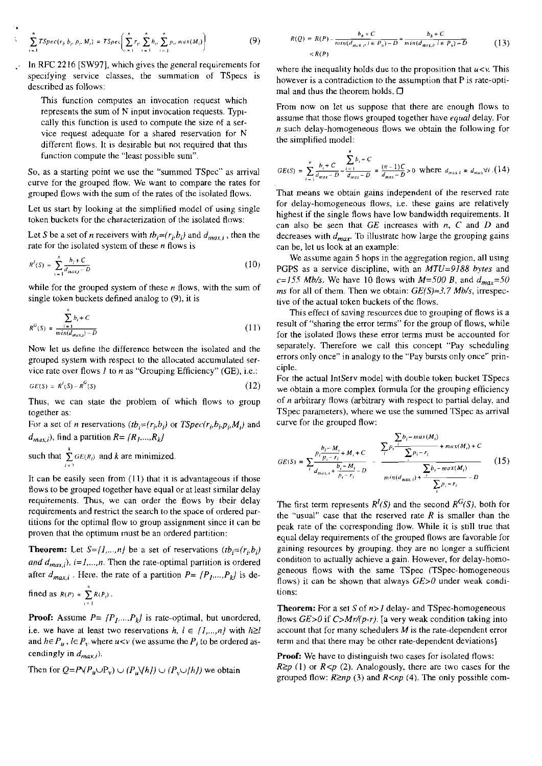$$
\sum_{i=1}^{n} TSpec(r_i, b_i, p_i, M_i) = TSpec\left(\sum_{i=1}^{n} r_i, \sum_{i=1}^{n} b_i, \sum_{i=1}^{n} p_i, max(M_i)\right)
$$
(9)

In RFC 2216 [SW97], which gives the general requirements for specifying service classes, the summation of TSpecs is described as follows:

This function computes an invocation request which represents the sum of N Input invocation requests. Typically this function is used to compute ihe size of a scrvice request adequate for a shared reservation for N different flows. It is desirable but not required that this function compute the "least possible sum".

So, as a starting point we use the "summed TSpec" as arrival curve for the grouped flow. We Want to compare the rates for grouped flows with the sum of the rates of the isolated flows.

Let us start by looking at the simplified model of using single token buckets for the characterization of the isolated flows:

Let S be a set of *n* receivers with  $tb_i = (r_i, b_i)$  and  $d_{max,i}$ , then the rate for the isolated system of these  $n$  flows is

$$
R'(S) = \sum_{i=1}^{n} \frac{b_i + C}{d_{max,i} - D}
$$
 (10)

while for the grouped system of these  $n$  flows, with the sum of single token buckets defined analog to (9). it is

$$
R^{G}(S) = \frac{\sum_{i=1}^{n} b_i + C}{min(d_{max,i}) - D}
$$
\n(11)

Now let us define the difference between the isolated and the grouped system with respeci to the allocated accumulated service rate over flows  $I$  to n as "Grouping Efficiency" (GE), i.e.:

$$
GE(S) = Rt(S) - RG(S)
$$
 (12)

Thus, we can state the problem of which flows to group together as:

For a set of *n* reservations  $(tb_i=(r_i,b_i)$  or  $TSpec(r_i,b_i,p_i,M_i)$  and  $d_{max,i}$ ), find a partition  $R = \{R_1, ..., R_k\}$ 

such that  $\sum_{i=1} G E(R_i)$  and *k* are minimized.

It can be easily seen from (I I) that it is advantageous if those flows to be grouped together have equal or at least similar delay requirements. Thus, we can order the flows by tbeir delay requirements and restrict the search to the space of ordered partitions for the optimal flow to group assignment since ii can be proven that the optimum must be an ordered partition:

**Theorem:** Let  $S = \{1, ..., n\}$  be a set of reservations  $(tb_i = (r_i, b_i))$ and  $d_{max,i}$ ,  $i=1,...,n$ . Then the rate-optimal partition is ordered after  $d_{max,i}$ . Here, the rate of a partition  $P = \{P_1, ..., P_k\}$  is de-

find as 
$$
R(P) = \sum_{i=1}^{n} R(P_i)
$$
.

**Proof:** Assume  $P = (P_1, ..., P_k)$  is rate-optimal, but unordered, i.e. we have at least two reservations  $h, l \in \{1, ..., n\}$  with  $h \ge l$ and  $h \in P_u$ ,  $l \in P_v$ , where  $u \lt v$  (we assume the  $P_i$  to be ordered ascendingly in  $d_{max,i}$ ).

Then for  $Q = P(P_u \cup P_v) \cup (P_u \setminus h) \cup (P_v \cup (h))$  we obtain

$$
R(Q) = R(P) - \frac{b_h + C}{\min(d_{\max, v} \mid \epsilon \mid P_u) - D} + \frac{b_h + C}{\min(d_{\max, v} \mid \epsilon \mid P_v) - D}
$$
  

$$
< R(P)
$$
 (13)

where the inequality holds due to the proposition that  $u < v$ . This however is a contradiction io the assumption that P is rate-optimal and thus the theorem holds.  $\Box$ 

From now on let us suppose that there are enough flows to assume that those flows grouped together have *equal* delay. For  $n$  such delay-homogeneous flows we obtain the following for the simplified model: From now on let us suppose that there are enough hows to<br>assume that those flows grouped together have *equal* delay. For<br>*n* such delay-homogeneous flows we obtain the following for<br>the simplified model:<br> $GE(S) = \sum_{i=1}^{n} \$ 

$$
GE(S) = \sum_{i=1}^{n} \frac{b_i + C}{d_{max} - D} - \frac{\sum_{i=1}^{n} b_i + C}{d_{max} - D} = \frac{(n-1)C}{d_{max} - D} > 0
$$
 where  $d_{max,i} = d_{max} \forall i$ . (14)

That means we obtain gains independent of the reserved rate for delay-homogeneous flows, i.e. these gains are relatively highest if the single flows have low bandwidth requirements. It can also be seen that  $GE$  increases with  $n, C$  and  $D$  and decreases with  $d_{max}$ . To illustrate how large the grouping gains can be, let us look at an example:

We assume again 5 hops in the aggregation region, all using PGPS as a service discipline, with an  $MTU=9188$  bytes and  $c=155$  Mb/s. We have 10 flows with  $M=500$  B, and  $d_{max}=50$ ms for all of them. Then we obtain:  $GE(S) \approx 3.7$  Mb/s, irrespective of the actual token buckets of the flows.

This effect of saving resources due to grouping of flows is a result of "sharing the error terms" for the group of flows, while for the isolated flows these error terms must be accounted for separately. Therefore we call this concept "Pay scheduling errors only once" in analogy to the "Pay bursts only once" principle.

For the actual IntServ model with double ioken bucket TSpecs we obtain a more complex formula for the grouping efficiency of  $n$  arbitrary flows (arbitrary with respect to partial delay, and TSpec pararneters), where we use the sumrned TSpec as arrival curve for the grouped flow:

$$
GE(S) = \sum_{i} \frac{p_i \frac{b_i - M_i}{p_i - r_i} + M_i + C}{d_{max,i} + \frac{b_i - M_i}{p_i - r_i} - D} - \frac{\sum_{i} p_i \frac{b_i - max(M_i)}{p_i - r_i} + max(M_i) + C}{\frac{b_i - max(M_i)}{min(d_{max,i}) + \frac{1}{i} \sum_{i} p_i - r_i} - D}
$$
(15)

The first term represents  $R<sup>I</sup>(S)$  and the second  $R<sup>G</sup>(S)$ , both for the "usual" case that the reserved rate  $R$  is smaller than the peak rate of the corresponding flow. While it 1s still true that equal delay requirements of the grouped flows arc favorable for gaining resources by grouping. they are no longer a sufficient condition to actually achieve a gain. However, for delay-homogeneous flows with the same TSpec (TSpec-homogeneous flows) it can be shown that always  $GE > 0$  under weak condi-Lions:

**Theorem:** For a set S of  $n>1$  delay- and TSpec-homogeneous flows *GE>0* if *C>Mr/(p-r)*. [a very weak condition taking into account that for many schedulers  $M$  is the rate-dependent error term and that there may be other rate-dependent deviations]

**Proof:** We have to distinguish two cases for isolared flows:  $R \geq p$  (1) or  $R \leq p$  (2). Analogously, there are two cases for the grouped flow:  $R \ge np$  (3) and  $R \le np$  (4). The only possible com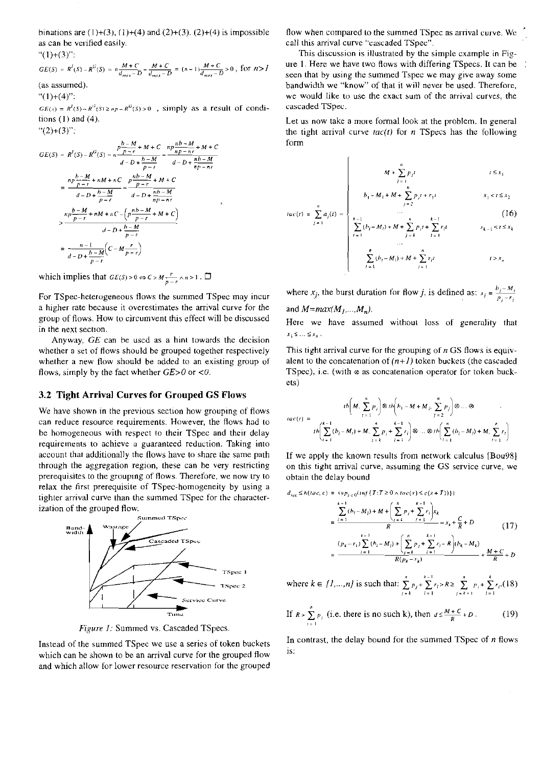binations are (1)+(3), (1)+(4) and (2)+(3). (2)+(4) is impossible as can be verified easily.

" $(1)+(3)$ ":

$$
GE(S) = R^{l}(S) - R^{G}(S) = n \frac{M + C}{d_{max} - D} - \frac{M + C}{d_{max} - D} = (n - 1) \frac{M + C}{d_{max} - D} > 0, \text{ for } n > l
$$

(as assumed).

" $(1)+(4)$ ":

 $GE(s) = R^{l}(S) - R^{l}(S) \ge np - R^{l}(S) > 0$ , simply as a result of conditions  $(1)$  and  $(4)$ .

" $(2)+(3)$ ":

$$
GE(S) = R^{l}(S) - R^{G}(S) = n \frac{p \frac{b - M}{p - r} + M + C}{d - D + \frac{b - M}{p - r}} - \frac{np \frac{nb - M}{np - nr} + M + C}{d - D + \frac{nb - M}{np - nr}}
$$
  

$$
= \frac{np \frac{b - M}{p - r} + nM + nC}{d - D + \frac{b - M}{p - r}} - \frac{p \frac{nb - M}{p - r} + M + C}{d - D + \frac{nb - M}{np - nr}}
$$
  

$$
> \frac{np \frac{b - M}{p - r} + nM + nC - (p \frac{nb - M}{p - r} + M + C)}{d - D + \frac{b - M}{p - r}}
$$
  

$$
= \frac{n - 1}{d - D + \frac{b - M}{p - r}} (C - M \frac{r}{p - r})
$$

which implies that  $GE(S) > 0 \Leftrightarrow C > M \frac{r}{n-r} \wedge n > 1$ .  $\Box$ 

For TSpec-heterogeneous flows the summed TSpec may incur a higher rate because it overestimates the arrival curve for the group of flows. How to circumvent this effect will be discussed in the next section.

Anyway, GE can be used as a hint towards the decision whether a set of flows should be grouped together respectively whether a new flow should be added to an existing group of flows, simply by the fact whether  $GE > 0$  or <0.

#### 3.2 Tight Arrival Curves for Grouped GS Flows

We have shown in the previous section how grouping of flows can reduce resource requirements. However, the flows had to be homogeneous with respect to their TSpec and their delay requirements to achieve a guaranteed reduction. Taking into account that additionally the flows have to share the same path through the aggregation region, these can be very restricting prerequisites to the grouping of flows. Therefore, we now try to relax the first prerequisite of TSpec-homogeneity by using a tighter arrival curve than the summed TSpec for the characterization of the grouped flow.



Figure 1: Summed vs. Cascaded TSpecs.

Instead of the summed TSpec we use a series of token buckets which can be shown to be an arrival curve for the grouped flow and which allow for lower resource reservation for the grouped flow when compared to the summed TSpec as arrival curve. We call this arrival curve "cascaded TSpec".

This discussion is illustrated by the simple example in Figure 1. Here we have two flows with differing TSpecs. It can be seen that by using the summed Tspec we may give away some bandwidth we "know" of that it will never be used. Therefore, we would like to use the exact sum of the arrival curves, the cascaded TSpec.

Let us now take a more formal look at the problem. In general the tight arrival curve  $tac(t)$  for *n* TSpecs has the following form

$$
M + \sum_{j=1}^{n} p_j t
$$
  
\n
$$
b_1 - M_1 + M + \sum_{j=2}^{n} p_j t + r_1 t
$$
  
\n
$$
x_1 < t \le x_2
$$

$$
tuc(t) = \sum_{j=1}^{n} a_j(t) = \begin{cases} \sum_{k=1}^{n-1} (b_i - M_i) + M + \sum_{j=k}^{n} p_j t + \sum_{l=1}^{k-1} r_l t & x_{k-1} \le t \le x_k \\ \sum_{i=1}^{n} (b_i - M_i) + M + \sum_{j=k}^{n} r_j t & t > x_n \end{cases}
$$
 (16)

where  $x_j$ , the burst duration for flow j, is defined as:  $x_j = \frac{b_j - M_j}{p_j - r_j}$ and  $M = max(M_1, ..., M_n)$ .

Here we have assumed without loss of generality that  $x_1 \leq \ldots \leq x_n$ .

This tight arrival curve for the grouping of  $n$  GS flows is equivalent to the concatenation of  $(n+1)$  token buckets (the cascaded TSpec), i.e. (with  $\otimes$  as concatenation operator for token buck $ets)$ 

$$
i\hbar \left(M, \sum_{j=1}^{n} p_j\right) \otimes i\hbar \left(h_1 - M + M_1, \sum_{j=2}^{n} p_j\right) \otimes \dots \otimes
$$
  

$$
i\hbar \left(\sum_{i=1}^{k-1} (b_i - M_i) + M, \sum_{j=k}^{n} p_j + \sum_{i=1}^{k-1} r_i\right) \otimes \dots \otimes i\hbar \left(\sum_{i=1}^{n} (b_i - M_i) + M, \sum_{i=1}^{n} r_i\right)
$$

If we apply the known results from network calculus [Bou98] on this tight arrival curve, assuming the GS service curve, we obtain the delay bound

 $\overline{d}$ 

$$
u_{0} \leq h(tac, c) = \sup_{k \geq 1} \{ t \in T : T \geq 0 \land tac(s) \leq c(s+T) \} \}
$$
  

$$
= \frac{\sum_{k=1}^{k-1} (b_{t} - M_{1}) + M + \left( \sum_{j=k}^{n} p_{j} + \sum_{\ell=1}^{k-1} r_{\ell} \right) x_{k}}{R} - x_{k} + \frac{C}{R} + D
$$
  

$$
(p_{k} - r_{k}) \sum_{\ell=1}^{k-1} (b_{\ell} - M_{\ell}) + \left( \sum_{\ell=k}^{n} p_{\ell} + \sum_{\ell=1}^{k-1} r_{\ell} - R \right) (b_{k} - M_{k})
$$
  

$$
M + C = \frac{C}{R}
$$

where  $k \in \{1,...,n\}$  is such that:  $\sum_{i=k}^{n} p_i + \sum_{l=1}^{k-1} r_l > R \ge \sum_{i=k+1}^{n} p_i + \sum_{l=1}^{k} r_l$ . (18)

If 
$$
R > \sum_{i=1}^{n} p_i
$$
 (i.e. there is no such k), then  $d \leq \frac{M+C}{R} + D$ . (19)

In contrast, the delay bound for the summed TSpec of  $n$  flows is.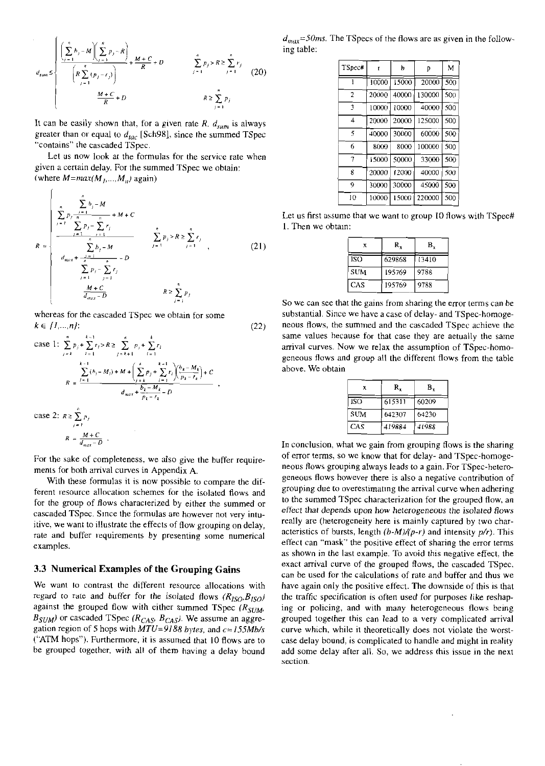$$
d_{sum} \leq \begin{cases} \left(\sum_{j=1}^{n} h_{j} - M\right) \left(\sum_{j=1}^{n} p_{j} - R\right) \\ \left(R\sum_{j=1}^{n} (p_{j} - r_{j})\right) + \frac{M + C}{R} + D & \sum_{j=1}^{n} p_{j} > R \geq \sum_{j=1}^{n} r_{j} \\ \frac{M + C}{R} + D & R \geq \sum_{j=1}^{n} p_{j} \end{cases}
$$
(20)

It can be easily shown that, for a given rate  $R$ .  $d_{sum}$  is always greater than or equal to  $d_{\text{fac}}$  [Sch98], since the summed TSpec "contains" the cascaded TSpec.

Let us now look at the formulas for the service rate when given a cerrain delay. For the summed TSpec we obtain: (where  $M = max(M_1, ..., M_n)$  again)

$$
R = \begin{cases}\n\sum_{j=1}^{n} \frac{\sum_{j=1}^{n} b_{j} - M}{p_{j} - n} + M + C \\
\frac{\sum_{j=1}^{n} p_{j} - \sum_{i=1}^{n} r_{i}}{\sum_{j=1}^{n} b_{j} - M} & \sum_{j=1}^{n} p_{j} > R \ge \sum_{j=1}^{n} r_{j} \\
\frac{d_{max} + \frac{f - 1}{n} - \sum_{j=1}^{n} r_{j}}{\sum_{j=1}^{n} p_{j} - \sum_{j=1}^{n} r_{j}} & R \ge \sum_{j=1}^{n} p_{j}\n\end{cases}
$$
\n(21)

whereas for the cascaded TSpec we obtain for some  $k \in \{1, ..., n\}$ : (22)

case 1: 
$$
\sum_{j=k}^{n} p_j + \sum_{i=1}^{k-1} r_i > R \ge \sum_{j=k+1}^{n} p_j + \sum_{i=1}^{k} r_i
$$

$$
R = \frac{\sum_{k=1}^{k-1} (h_i - M_i) + M + \left(\sum_{j=k}^{n} p_j + \sum_{i=1}^{k-1} r_i\right) \left(\frac{b_k - M_k}{p_k - r_k}\right) + C}{d_{max} + \frac{b_k - M_k}{p_k - r_k} - D},
$$
  
case 2: 
$$
R \ge \sum_{j=1}^{n} r_j
$$

$$
R = \frac{M + C}{d_{max} - D}.
$$

For the sake of completeness, we also give the buffer requirements for both arrival curves in Appendix A.

With these formulas it is now possible to compare the different resource allocation schemes for the isolated flows and for the group of flows characierized by either the summed or cascaded TSpec. Since the formulas are however not very intuitive, we Want to illustrate the effects of flow grouping on delay, rate and buffer requirements by presenting some numerical examples.

#### **3.3 Numerical Examples of the Grouping Gains**

We want to contrast the different resource allocations with regard to rate and buffer for the isolated flows  $(R_{ISO}, B_{ISO})$ against the grouped flow with either summed TSpec (R<sub>SUM</sub>, *B<sub>SUM</sub>*) or cascaded TSpec *(R<sub>CAS</sub>, B<sub>CAS</sub>)*. We assume an aggregation region of 5 hops with *MTU=YIBA bgres,* and *c=I55Mb/s*  ("'ATM hops"). Furthennore, it is assumed that 10 flows are to be grouped together, with all of them having a delay bound

 $d_{max} = 50$ ms. The TSpecs of the flows are as given in the following table:

| TSpec#    | т     | h     | Þ      | M   |
|-----------|-------|-------|--------|-----|
|           | 10000 | 15000 | 20000  | 500 |
| 2         | 20000 | 40000 | 130000 | 500 |
| ٦         | 10000 | 10000 | 40000  | 500 |
| 4         | 20000 | 20000 | 125000 | 500 |
| $\vec{r}$ | 40000 | 30000 | 60000  | 500 |
| 6         | 8000  | 8000  | 100000 | 500 |
| 7         | 15000 | 50000 | 33000  | 500 |
| ß         | 20000 | 12000 | 40000  | 500 |
| 9         | 30000 | 30000 | 45000  | 500 |
| 10        | 10000 | 15000 | 220000 | 500 |

Let us first assume that we want to group 10 flows with TSpee# 1. Then we obtain:

| x          | R.     | В.,   |
|------------|--------|-------|
| iso        | 629868 | 13410 |
| SUM        | 195769 | 9788  |
| <b>CAS</b> | 195769 | 9788  |

So we can see that the gains from sharing the error terms can be substantial. Since we have a case of delay- and TSpec-homogeneous fiows, the summed and the cascaded TSpec achieve the same values hecause for that case they are aetually the same arrival curves. Now we relax the assumption of TSpec-homogeneous flows and group all the different flows from the table above. We obtain So we can see that the gains from sharing the error terms can be<br>substantial. Since we have a case of delay- and TSpec-homoge-<br>neous flows, the summed and the cascaded TSpec achieve the<br>same values hecause for that case t

| x          | R.     | в.    |
|------------|--------|-------|
| ISO        | 615311 | 60209 |
| <b>SUM</b> | 642307 | 64230 |
| CAS        | 419884 | 41988 |

In conclusion, what we gain from grouping flows is the sharing of error tenns, so we know that for delay- and TSpec-homogeneous flows grouping always leads to a gain. For TSpec-heterogeneous flows however there is also a negative contribution of grouping due to overestimating the arrival curve when adhering to the summed TSpec characterization for the grouped flow, an eftect that depends upon how heterogeneous the isolaied flows really are (heterogeneity here is mainly captured by two characteristics of bursts, length *(b-M)/(p-r)* and intensity *p/r).* This eftect can "mask" the positive effect of sharing the error terms as shown in the last example. To avoid this negative effect, the exact arrival curve of the grouped flows. the cascaded TSpec. can be used for the calculations of rate and buffer and thus we have again only the positive effect. The downside of this is that the traffic specification is often used for purposes like reshaping or policing, and with many heterogeneous flows being grouped together this can lead to a very complicated arrival curve which, while it theoretically does not violate the worstcase delay bound, is complicated to handle and might in reality add some delay after all. So, we address this issue in the next section.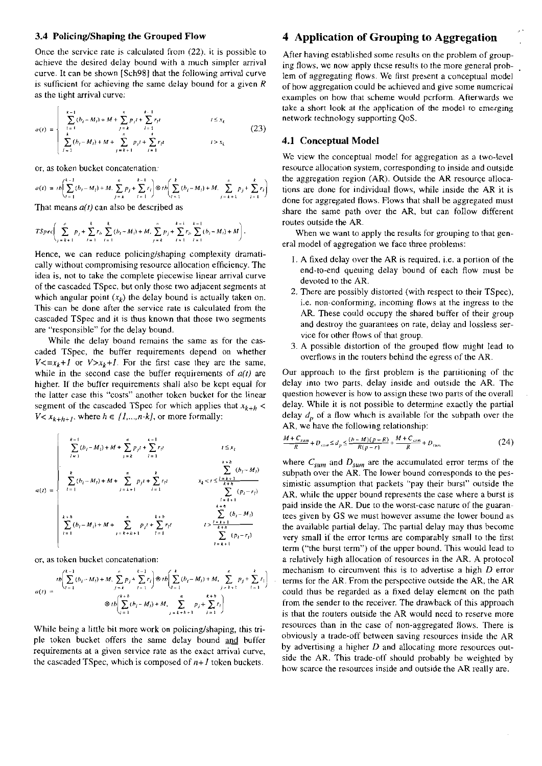#### **3.4 Policing/Shaping the Grouped Flow**

Once the scrvice rate is calculated from  $(22)$ , it is possible to achieve the desired delay bound with a much simpler arrival curve. It can be shown [Sch98] that the following arrival curve is sufficient for achieving the same delay bound for a given  $R$ as the tight arrival curve:

$$
a(t) = \begin{cases} \sum_{i=1}^{k-1} (b_i - M_i) + M + \sum_{j=k}^{n} p_j t + \sum_{i=1}^{k-1} r_i t \\ \sum_{i=1}^{k} (b_i - M_i) + M + \sum_{j=k+1}^{n} p_j t + \sum_{i=1}^{k} r_i t \end{cases} \qquad t \leq x_k
$$
 (23)

or, as token hucket concatenation:

$$
a(t) = ib\left(\sum_{i=1}^{k-1} (b_i - M_i) + M \cdot \sum_{j=k}^{n} p_j + \sum_{i=1}^{k-1} r_i\right) \otimes tb\left(\sum_{i=1}^{k} (b_i - M_i) + M \cdot \sum_{j=k+1}^{n} p_j + \sum_{i=1}^{k} r_i\right)
$$

That means  $a(t)$  can also be described as

$$
TSpec\Bigg(\sum_{j=k+1}^{p} p_j + \sum_{l=1}^{k} r_l, \sum_{l=1}^{k} (b_l - M_l) + M, \sum_{j=k}^{n} p_j + \sum_{l=1}^{k-1} r_l, \sum_{l=1}^{k-1} (b_l - M_l) + M\Bigg).
$$

Hence, we can reduce policing/shaping complexity dramatically without compromising resource allocation efficiency. The idea is, not to take the complete piecewise linear arrival curve of the cascaded TSpec, but only those two adjacent segments at which angular point  $(x_k)$  the delay bound is actually taken on. This can be done after the service rate is calculated from the cascaded TSpcc and it is thus known that those iwo segmenis are "responsible" for the delay bound.

While ihe delay bound remains the same as for the cascaded TSpec, the buffer requirements depend on whether  $V \le x_k + 1$  or  $V > x_k + 1$ . For the first case they arc the same, while in the second case the buffer requirements of  $a(t)$  are higher. If the buffer requirements shall also be kept equal for the latter case this "cosrs" another tokcn bucket for the linear segment of the cascaded TSpec for which applies that  $x_{k+h}$  <  $V \leq x_{k+h+1}$ , where  $h \in \{1,...,n-k\}$ , or more formally:

$$
a(t) = \begin{cases} \sum_{l=1}^{k-1} (b_l - M_l) + M + \sum_{j=k}^{n} p_j t + \sum_{l=1}^{k-1} r_l t & t \leq x_k \\ \sum_{l=1}^{k} (b_l - M_l) + M + \sum_{j=k+1}^{n} p_j t + \sum_{l=1}^{k} r_l t & x_k < t \leq \frac{l=k+1}{k+h} \\ \sum_{l=1}^{k} (b_l - M_l) & t < t < \frac{l=k+1}{k+h} \\ \sum_{l=1}^{k+h} (b_l - M_l) + M + \sum_{j=k+h+1}^{n} p_j t + \sum_{l=1}^{k+h} r_l t & t > \frac{l+s+1}{k+h} \\ \sum_{l=1}^{k+h} (b_l - M_l) + M + \sum_{j=k+h+1}^{n} p_j t + \sum_{l=1}^{k+h} r_l t & t > \frac{l+s+1}{k+h} \\ \sum_{l=k+1}^{k+h} (b_l - T_l) & t > \frac{l+s+1}{k+h} \\ \end{cases}
$$

or, as token bucket concatenation:

 $\overline{1}$ 

$$
a(t) = \frac{tb\left(\sum_{j=1}^{k-1} (b_j - M_l) + M, \sum_{j=k}^{n} p_j + \sum_{l=1}^{k-1} r_l\right) \otimes tb\left(\sum_{j=1}^{k} (b_l - M_l) + M, \sum_{j=k+1}^{n} p_j + \sum_{l=1}^{k} r_l\right)}{\otimes tb\left(\sum_{j=1}^{k+k} (b_l - M_l) + M, \sum_{j=k+k+1}^{n} p_j + \sum_{l=1}^{k+k} r_l\right)}
$$

While being a little bit more work on policing/shaping, this triple token bucket offers the same delay bound and buffer requirements at a given service rate as the exact arrival curve, the cascaded TSpec, which is composed of  $n+1$  token buckets.

# **4 Application of Grouping to Aggregation** ,

After having established some results on the problem of grouping flows, we now apply these results to the more general problem of aggregating flows. We first present a conceptual model of how aggregaiion could be achieved and give some numcrical examples on how that scheme would pcrform. Afterwards we take a short look at the application of the model to emerging network technology supporting QoS.

#### **4.1 Conceptual Model**

Wc view the conceptual model for aggregation as a two-level resource allocaiion sysiem, corresponding to inside and outside the aggregation region (AR). Outside the AR resource allocations are done for individual flows, while inside the AR it is done for aggregated flows. Flows that shall be aggregated must share the same path over the AR, but can follow different routes outside the AR.

When we want to apply the results for grouping to that general model of aggregation we face three problems:

- 1. A fixed delay over the AR is required, i.e. a portion of the end-to-end queuing delay bound of each flow must be devoted to the AR.
- 2. There are possibly distorted (with respect to their TSpec), i.e. non-conforming, incoming flows at the ingress to the AR. These could occupy the shared bufier of their group and destioy the guarantees on rate, delay and lossless service for other flows of that group.
- *3.* A possible distortion of the grouped flow might lead to overflows in the routers behind the egress of the AR.

Our approach to the first problem is the partitioning of the delay into two parts. delay inside and outside the AR. The question however is how to assign these two parts of the overall delay. While it is not possible to determine exactly the partial delay  $d_p$  of a flow which is available for the subpath over the AR, we have the following relationship:

$$
\frac{M + C_{sum}}{R} + D_{sum} \le d_p \le \frac{(b - M)(p - R)}{R(p - r)} + \frac{M + C_{sum}}{R} + D_{sum}
$$
 (24)

where  $C_{sum}$  and  $D_{sum}$  are the accumulated error terms of the subpath over the AR. The lower bound corresponds to the pessimistic assumption that packets "pay their burst" outside the AR, while the upper bound represents the case where a burst is paid inside the AR. Due to the worst-case nature of the guarantees given by GS we must however assume the lower bound as the available partial delay. Thc partial delay may thus hecome very small if the error terms are comparably small to the first term ("the burst term") of the upper bound. This would lead to a relatively high allocation of resources in the AR. A protocol mechanism to circumvent this is to advertise a high  $D$  errorterms for the AR. From the perspective outside the AR, the AR could thus be regarded as a fixed delay element on the path from the sender to the receiver. The drawback of this approach is that the rourers outside the AR would need to reserve more resources than in the case of non-aggregated flows. There is obviously a tradc-off between saving resources inside the AR by advertising a higher  $D$  and allocating more resources outside the AR. This trade-off should probably be weighted by how scarce the resources inside and outside the AR really are.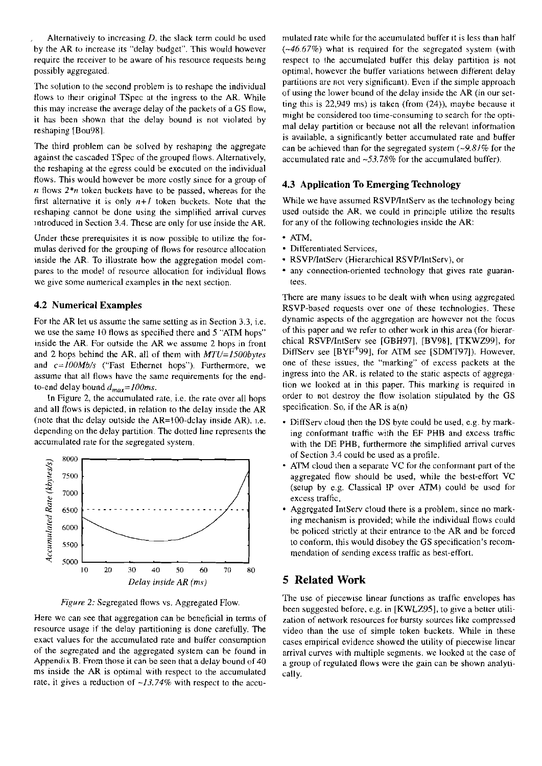Alternatively to increasing  $D$ , the slack term could be used by the AR to increase its "delay budget". This would however require the receiver to be aware of his resouice requests being possibly aggregated.

The solution to the second problem is to reshape the individual flows to their original TSpec at the ingress to the AR. While rhis may increase the avcrage delay of the packets of a GS fiow, it has been shown that the delay bound is not violated by reshaping [Bou98].

The third problcm can be solved by reshaping the aggregate against the cascaded TSpec of the grouped flows. Alternatively, the reshaping at the egress could he executed on the individual flows. This would however be more costly since for a group of  $n$  flows  $2*n$  token buckets have to be passed, whereas for the first alternative it is only  $n+1$  token buckets. Note that the reshaping cannot be done using the simplified arrival curves introduced in Section **3.4.** These are only for use inside the AR.

Under these prerequisites it is now possible to utilize the formulas derived for the grouping of tlows for resource allocation inside the AR. To illustrate how the aggregation model compares to the model of resource allocation for individual flows we give some numerical examples in the next section.

#### **4.2 Numerical Examples**

For the AR let us assume the same setting as in Section  $3.3$ , i.e. we use the same 10 flows as specified there and 5 "ATM hops" inside the AR. For outside the AR we assume 2 hops in front and 2 hops behind the AR, all of them with  $MTU=1500$  by test and  $c=100Mb/s$  ("Fast Ethernet hops"). Furthermore, we assume that all flows have the same requirements for the endto-end delay bound  $d_{max}=100$ ms.

In Figure 2, the accumulated rate, i.e. the rate over all hops and all fiows is depicted, in relation to the delay inside the AR (note that the delay outside the  $AR=100$ -dclay inside  $AR$ ), 1.e. depending on the delay partition. The dotted line represents the accumulated rate for the segregated system.



Figure 2: Segregated flows vs. Aggregated Flow.

Here we can see that aggregation can be beneficial in terms of resource usage if the delay partitioning is done carefully. The exact values for the accumulated rate and buffer consumption of the segregated and the aggregated system can be found in Appendix B. From those it can be seen that a delay bound of  $40$ ms inside the AR is optimal with respect to the accumulated rate, it gives a reduction of  $-13.74\%$  with respect to the accumulated rate while for the aceumulated huffer it is less than half  $(-46.67%)$  what is required for the segregated system (with respect to the accumulated buffer this delay partition is not optimal, however the buffer variations between different delay partitions are not very significant). Even if the simple approach of using the lower bound of the delay inside the AR (in our setting this is 22.949 ms) is taken (from (24)). maybe because it might be considered too time-consuming to search for the optimal delay partition or because not all the relevant information is available, a significantly better accumulated rate and buffer can be achieved than for the segregated system  $(-9.81\%$  for the accumulated rate and  $\sim$  53.78% for the accumulated buffer).

#### **4.3 Application To Emerging Technology**

While we have assumed RSVP/IntServ as the technology being used outside the AR. we could in principle utilize the results for any of the following technologies inside the AR:

- ATM,
- Differentiated Services.
- RSVP/IntServ (Hierarchical RSVP/IntServ), or
- any connection-orienied technology that gives rate guarantees.

There are many issues to be dealt with when using aggregated RSVP-based requests over one of these technologies. These dynamic aspects of the aggregation are however not the focus of this paper and we refer to other work in this area (for hierarchical RSVPlIntServ see [GBH97]. [BV98], [TKWZ99], for DiffServ see  $[BYF<sup>+</sup>99]$ , for ATM see  $[SDMT97]$ ). However, one of these issues, the "marking" of exccss packets at the ingress into the AR. is related to the staric aspects of aggregation we looked at in this paper. This marking is required in order to not destroy the flow isolation stipulated by the GS specification. So, if the AR is  $a(n)$ 

- DiffServ cloud then the DS byte could be used, e.g. by marking conformant traffic with the EF PHB and excess traffic with the DE PHB, furthermore the simplified arrival curves of Section 3.4 could be used as aprofile.
- ATM cloud then a separate VC for the conformant part of the aggregaied fiow should he used, while the hest-effort VC (seiup by e.g. Classical 1P over ATM) could be used for excess traffic.
- Aggregated IntServ cloud there is a problem, since no marking mechanism is provided; while the individual flows could be policed strictly at their entrance to the AR and be forced to conform, ihis would disobey the GS specification's recommendation of sending excess traffic as best-effort.

# **5 Related Work**

The use of piecewise linear functions as traffic envelopes has been suggested before, e.g. in [KWLZ95], to give a hetier utilization of network resources for bursty sources like compressed video than the use of simple token buckets. While in these cases empirical evidence showed the utility of piecewise linear arrival curves with multiple segments. we looked at the case of a group of regulated fiows were the gain can be shown analytically.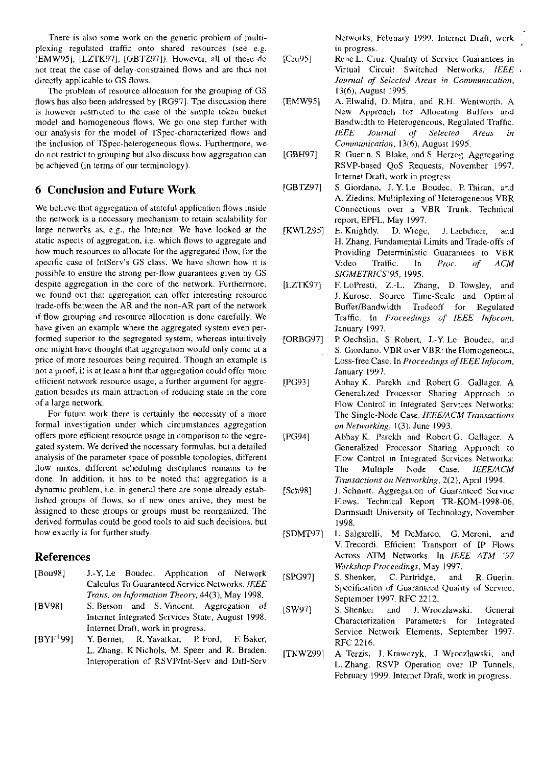There is also some work on the generic problem of multiplexing regulated traffic onto shared resources (see e.g. [EMW95], [LZTK97], [GBTZ97]). However, all of these do not treat ihe case of delay-constrained flows and are thus not directly applicable to GS flows.

The problem of resource allocation for the grouping of GS flows has also been addressed by [RG97]. The discussion there is however restricted to the case of the simple token bueket model and homogeneous flows. We go one step further with our analysis for the model of TSpec-characterized flows and the inclusion of TSpec-heterogeneous flows. Furthermore, we do not restrict to grouping hut also discuss how aggregation can be achieved (in ierms of our terminology).

# **6 Conclusion and Future Work**

We believe that aggregation of stateful application flows inside the network is a necessary mechanism to retain scalability for large networks as, e.g., the Internet. We have looked at the static aspects of aggregation, i.e. which flows to aggregate and how much resources to allocate for the aggregated flow, for the specific case of IntServ's GS class. We have shown how it is possible to ensure the strong per-flow guarantees given by GS despite aggregation in the core of the network. Furthermore, we found out that aggregation can offer interesting resource trade-offs hetween the AR and the non-AR part of the network if flow grouping and resource allocation is done carefully. We havc given an example where the aggregated system even performed superior to the segregated system, whereas intuitively one mighi have thought thai aggregation would only come at a price of more resources being required. Though an example is not a proof, it is at least a hint that aggregation couId offer more efficient network resource usage, a further argument for aggregation hesides its main attraction of reducing state in the core of a large network.

For future work there is certainly the necessity of a more formal investigation under which circumstances aggregation offers more efficient resource usage in comparison to the segregated system. We derived the necessary formulas. hut a detailcd analysis of the parameter space of possible topologies, different flow mixes, different scheduling disciplines remains to be done. In addition, it has to be noted that aggregation is a dynamic problem, i.e. in general there are some already established groups of flows, so if new ones arrive, they must be assigned to these groups or groups must be reorganized. The derived formulas could be good 1001s to aid such decisions. hut how exactly is for further study.

# **References**

- [Bou98] J.-Y. Le Boudec. Application of Neiwork Calculus To Guaranteed Service Networks. **IEEE**  Trans. on Information Theory, 44(3), May 1998.
- [BV98l S. Berson and S. Vinceni. Aggregation of Intcrnet Integrated Services State, August 1998. Internet Draft, work in progress.
- [BYF<sup>+</sup>99] Y. Bernet, R. Yavatkar, P. Ford, F. Baker, L. Zhang, K Nichols, M. Speer and R. Braden. lnteroperation of RSVPflnt-Serv and Diff-Serv

Networks, Febiuary 1999. Intcrnet Draft, work in progress.

- $[Cru95]$ Rene L. Cruz. Quality of Service Guarantees in Virtual Circuit Switched Networks. **IEEE** *i* Journal of Selected Areas in Communication, 13(6), August 1995.
- [EMW95] **A.** Elwalid, D. Mitra, and R.FI. Wentworth. A New Approach for Allocating Buffers and Bandwidth to Heterogencous, Regulated Traflic. IEEE Journal of Selected Areas Communication, 13(6), August 1995.
- $[GBH97]$ R. Guerin, S. Blake, and S. Herzog. Aggregating RSVP-based QoS Requests. November 1997. Internet Draft, work in progress.
- [GBTZ97] S. Giordano, J. Y. Le Boudec, P. Thiran, and A. Ziedins. Multiplexing of Heterogeneous VBR Connections over a VBR Trunk. Technical report, EPFL, May 1997.
- [KWLZ95] E. Knightly, D. Wrege, J. Liebeherr, and H. Zhang. Fundamental Limits and Trade-offs of Providing Deterministic Guarantees to VBR Video Trnffic. In **Proc. of ACM**  SIGMETRICS'95, 1995.
- $[LZTK97]$ F. LoPresti, 2.-L. Zhang, D. Towsley, and J. Kurose. Source Time-Scale and Optimal BufferIBandwidth Tradeoff for Regulated Traffic. In Proceedings of IEEE Infocom, January 1997.
- [ORBG97] P Oechslin. S. Robert, J.-Y Lc Boudec, and S. Giordano. VBR over VBR: the Homogeneous, Loss-free Case. In *Proceedings of IEEE Infocom*, January 1997.
- $[PG93]$ Abhay K. Parekh and Robert **C;.** Gallager. A Generalized Processor Sharing Approach to Flow Control in Integrated Services Networks: The Single-Node Case. **IEEE/ACM Tiansactions an Networking,** l(3). Junc 1993.
- $[PG94]$ Abhay K. Parekh and Robert G. Gallager. A Generalized Processor Sharing Approach to Flow Control in Integrated Services Networks: The Multiple Node Case. **IEEE/ACM**  Transactions on Networking, 2(2), April 1994.
- [Sch98] J. Schmitt. Aggregation of Guaranteed Service Flows. Technical Report TR-KOM-1998.06, Darmstadr University of Technology, November 1998.
- $[SDMT97]$ L. Salgsrelli, M. DeMarco, G. Meroni, and V. Trecordi. Efficient Transport of IP Flows Across ATM Networks. In **IEEE ATM '97 Workshop Proceedirigs,** May 1997.
- [SPG97] S. Shenker, C. Partridge. and R. Guerin. Specification of Guaranteed Quality of Service, Septeniber 1997. RFC 2212.
- [SW97] S. Shenker and J. Wroczlawski. General Characierization Parameters for lntegrated Service Network Elements, September 1997. RFC 2216.
- [TKWZ99] A. Terzis, J. Krawczyk, J. Wroczlawski, and L. Zhang. RSVP Operation over 1P Tunnels, Fehruary 1999. lnternet Draft. work in progress.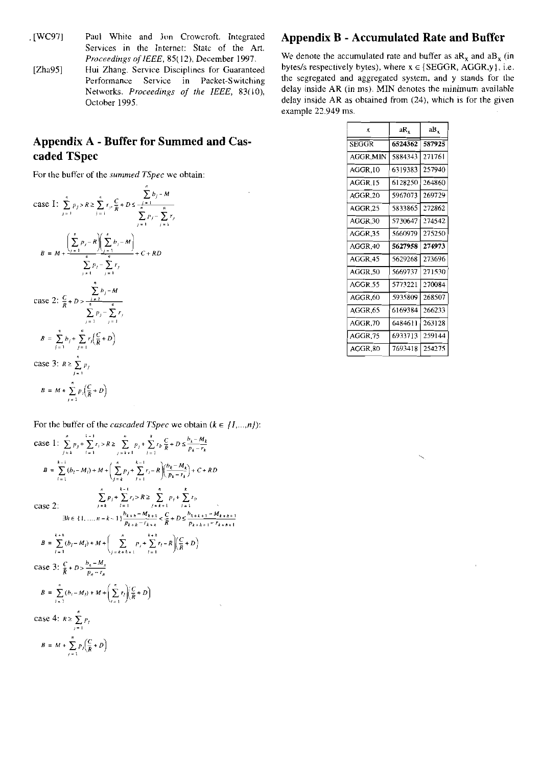- . [WC97] Paul White and Jon Crowcroft. Integrated Services in the Internet: State of the Art. Proceedings of IEEE, 85(12), December 1997.
- [ $Zha95$ ] Hui Zhang. Service Disciplines for Guaranteed Performance Service in Packet-Switching Networks. Proceedings of the IEEE, 83(10), October 1995.

# Appendix A - Buffer for Summed and Cascaded TSpec

For the buffer of the summed TSpec we obtain:

case I: 
$$
\sum_{j=1}^{n} p_j > R \ge \sum_{j=1}^{n} r_j \cdot \frac{C}{R} + D \le \frac{\sum_{j=1}^{n} b_j - M}{\sum_{j=1}^{n} p_j - \sum_{j=1}^{n} r_j}
$$
  
\n
$$
B = M + \frac{\sum_{j=1}^{n} p_j - R \left( \sum_{j=1}^{n} b_j - M \right)}{\sum_{j=1}^{n} p_j - \sum_{j=1}^{n} r_j} + C + RD
$$
\ncase 2:  $\frac{C}{R} + D > \frac{\sum_{j=1}^{n} b_j - M}{\sum_{j=1}^{n} p_j - \sum_{j=1}^{n} r_j}$   
\n
$$
B = \sum_{j=1}^{n} b_j + \sum_{j=1}^{n} r_j \left( \frac{C}{R} + D \right)
$$
  
\ncase 3:  $R \ge \sum_{j=1}^{n} p_j$   
\n
$$
B = M + \sum_{i=1}^{n} p_i \left( \frac{C}{R} + D \right)
$$

For the buffer of the *cascaded TSpec* we obtain  $(k \in \{I,...,n\})$ :

case 1: 
$$
\sum_{j=k}^{n} p_j + \sum_{l=1}^{k-1} r_l > R \ge \sum_{j=k+1}^{n} p_j + \sum_{l=1}^{k} r_l \sum_{l=1}^{C} + D \le \frac{b_k - M_k}{p_k - r_k}
$$
  
\n
$$
B = \sum_{l=1}^{k-1} (b_l - M_l) + M + \left( \sum_{j=k}^{n} p_j + \sum_{l=1}^{k-1} r_l - R \right) \left( \frac{b_k - M_k}{p_k - r_k} \right) + C + RD
$$
\ncase 2:  $\sum_{j=k}^{n} p_j + \sum_{l=1}^{k-1} r_l > R \ge \sum_{j=k+1}^{n} p_j + \sum_{l=1}^{k} r_l$   
\n
$$
\exists h \in \{1, ..., n-k-1\} \frac{b_{k+h} - M_{k+h}}{p_{k+h} - r_{k+h}} < \frac{C}{R} + D \le \frac{b_{h+k+1} - M_{k+h+1}}{p_{k+h+1} - r_{k+h+1}}
$$
  
\n
$$
B = \sum_{l=1}^{k+h} (b_l - M_l) + M + \left( \sum_{j=k+h+1}^{n} p_j + \sum_{l=1}^{k+h} r_l - R \right) \left( \frac{C}{R} + D \right)
$$
  
\ncase 3:  $\frac{C}{R} + D > \frac{b_n - M_n}{p_n - r_n}$   
\n
$$
B = \sum_{l=1}^{n} (b_l - M_l) + M + \left( \sum_{l=1}^{n} r_l \right) \left( \frac{C}{R} + D \right)
$$
  
\ncase 4:  $R \ge \sum_{j=1}^{n} p_j$   
\n
$$
B = M + \sum_{j=1}^{n} p_j \left( \frac{C}{R} + D \right)
$$

# **Appendix B - Accumulated Rate and Buffer**

We denote the accumulated rate and buffer as  $aR_x$  and  $aB_x$  (in bytes/s respectively bytes), where  $x \in \{ \text{SEGGR}, \text{AGGR}, y \}$ , i.e. the segregated and aggregated system, and y stands for the delay inside AR (in ms). MIN denotes the minimum available delay inside AR as obtained from (24), which is for the given example 22.949 ms.

| x                  | аR.     | aB.    |
|--------------------|---------|--------|
| <b>SEGGR</b>       | 6524362 | 587925 |
| AGGR MIN           | 5884343 | 271761 |
| AGGR 10            | 6319383 | 257940 |
| AGGR 15            | 6128250 | 264860 |
| AGGR.20            | 5967073 | 269729 |
| <b>AGGR 25</b>     | 5833865 | 272862 |
| AGGR, 30           | 5730647 | 274542 |
| AGGR.35            | 5660979 | 275250 |
| AGGR 40            | 5627958 | 274973 |
| AGGR 45            | 5629268 | 273696 |
| AGGR <sub>50</sub> | 5669737 | 271530 |
| AGGR 55            | 5773221 | 270084 |
| AGGR.60            | 5935809 | 268507 |
| AGGR 65            | 6169384 | 266233 |
| AGGR 70            | 6484611 | 263128 |
| AGGR 75            | 6933713 | 259144 |
| AGGR 80            | 7693418 | 254275 |